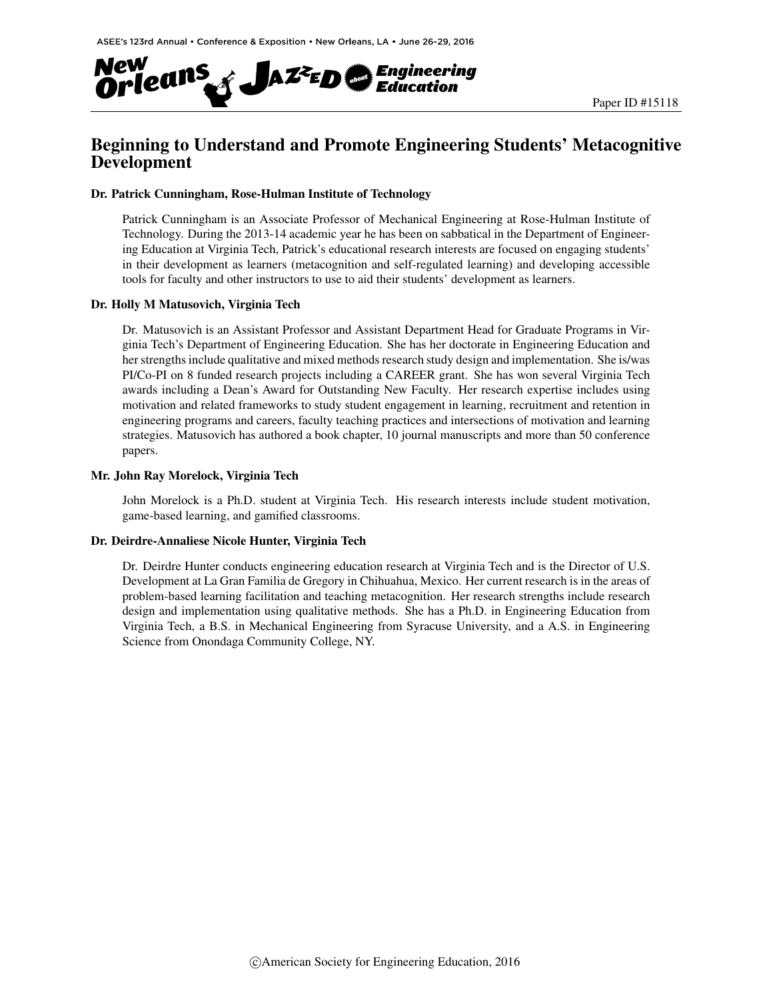

# Beginning to Understand and Promote Engineering Students' Metacognitive Development

#### Dr. Patrick Cunningham, Rose-Hulman Institute of Technology

Patrick Cunningham is an Associate Professor of Mechanical Engineering at Rose-Hulman Institute of Technology. During the 2013-14 academic year he has been on sabbatical in the Department of Engineering Education at Virginia Tech, Patrick's educational research interests are focused on engaging students' in their development as learners (metacognition and self-regulated learning) and developing accessible tools for faculty and other instructors to use to aid their students' development as learners.

#### Dr. Holly M Matusovich, Virginia Tech

Dr. Matusovich is an Assistant Professor and Assistant Department Head for Graduate Programs in Virginia Tech's Department of Engineering Education. She has her doctorate in Engineering Education and her strengths include qualitative and mixed methods research study design and implementation. She is/was PI/Co-PI on 8 funded research projects including a CAREER grant. She has won several Virginia Tech awards including a Dean's Award for Outstanding New Faculty. Her research expertise includes using motivation and related frameworks to study student engagement in learning, recruitment and retention in engineering programs and careers, faculty teaching practices and intersections of motivation and learning strategies. Matusovich has authored a book chapter, 10 journal manuscripts and more than 50 conference papers.

#### Mr. John Ray Morelock, Virginia Tech

John Morelock is a Ph.D. student at Virginia Tech. His research interests include student motivation, game-based learning, and gamified classrooms.

#### Dr. Deirdre-Annaliese Nicole Hunter, Virginia Tech

Dr. Deirdre Hunter conducts engineering education research at Virginia Tech and is the Director of U.S. Development at La Gran Familia de Gregory in Chihuahua, Mexico. Her current research is in the areas of problem-based learning facilitation and teaching metacognition. Her research strengths include research design and implementation using qualitative methods. She has a Ph.D. in Engineering Education from Virginia Tech, a B.S. in Mechanical Engineering from Syracuse University, and a A.S. in Engineering Science from Onondaga Community College, NY.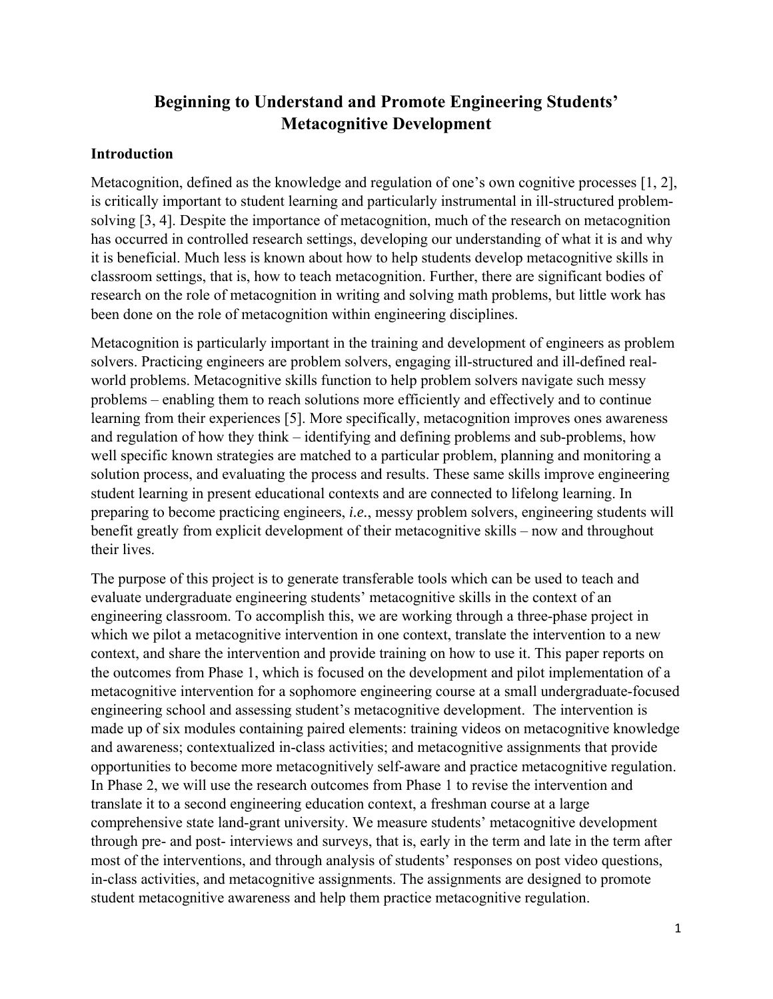# **Beginning to Understand and Promote Engineering Students' Metacognitive Development**

### **Introduction**

Metacognition, defined as the knowledge and regulation of one's own cognitive processes [1, 2], is critically important to student learning and particularly instrumental in ill-structured problemsolving [3, 4]. Despite the importance of metacognition, much of the research on metacognition has occurred in controlled research settings, developing our understanding of what it is and why it is beneficial. Much less is known about how to help students develop metacognitive skills in classroom settings, that is, how to teach metacognition. Further, there are significant bodies of research on the role of metacognition in writing and solving math problems, but little work has been done on the role of metacognition within engineering disciplines.

Metacognition is particularly important in the training and development of engineers as problem solvers. Practicing engineers are problem solvers, engaging ill-structured and ill-defined realworld problems. Metacognitive skills function to help problem solvers navigate such messy problems – enabling them to reach solutions more efficiently and effectively and to continue learning from their experiences [5]. More specifically, metacognition improves ones awareness and regulation of how they think – identifying and defining problems and sub-problems, how well specific known strategies are matched to a particular problem, planning and monitoring a solution process, and evaluating the process and results. These same skills improve engineering student learning in present educational contexts and are connected to lifelong learning. In preparing to become practicing engineers, *i.e.*, messy problem solvers, engineering students will benefit greatly from explicit development of their metacognitive skills – now and throughout their lives.

The purpose of this project is to generate transferable tools which can be used to teach and evaluate undergraduate engineering students' metacognitive skills in the context of an engineering classroom. To accomplish this, we are working through a three-phase project in which we pilot a metacognitive intervention in one context, translate the intervention to a new context, and share the intervention and provide training on how to use it. This paper reports on the outcomes from Phase 1, which is focused on the development and pilot implementation of a metacognitive intervention for a sophomore engineering course at a small undergraduate-focused engineering school and assessing student's metacognitive development. The intervention is made up of six modules containing paired elements: training videos on metacognitive knowledge and awareness; contextualized in-class activities; and metacognitive assignments that provide opportunities to become more metacognitively self-aware and practice metacognitive regulation. In Phase 2, we will use the research outcomes from Phase 1 to revise the intervention and translate it to a second engineering education context, a freshman course at a large comprehensive state land-grant university. We measure students' metacognitive development through pre- and post- interviews and surveys, that is, early in the term and late in the term after most of the interventions, and through analysis of students' responses on post video questions, in-class activities, and metacognitive assignments. The assignments are designed to promote student metacognitive awareness and help them practice metacognitive regulation.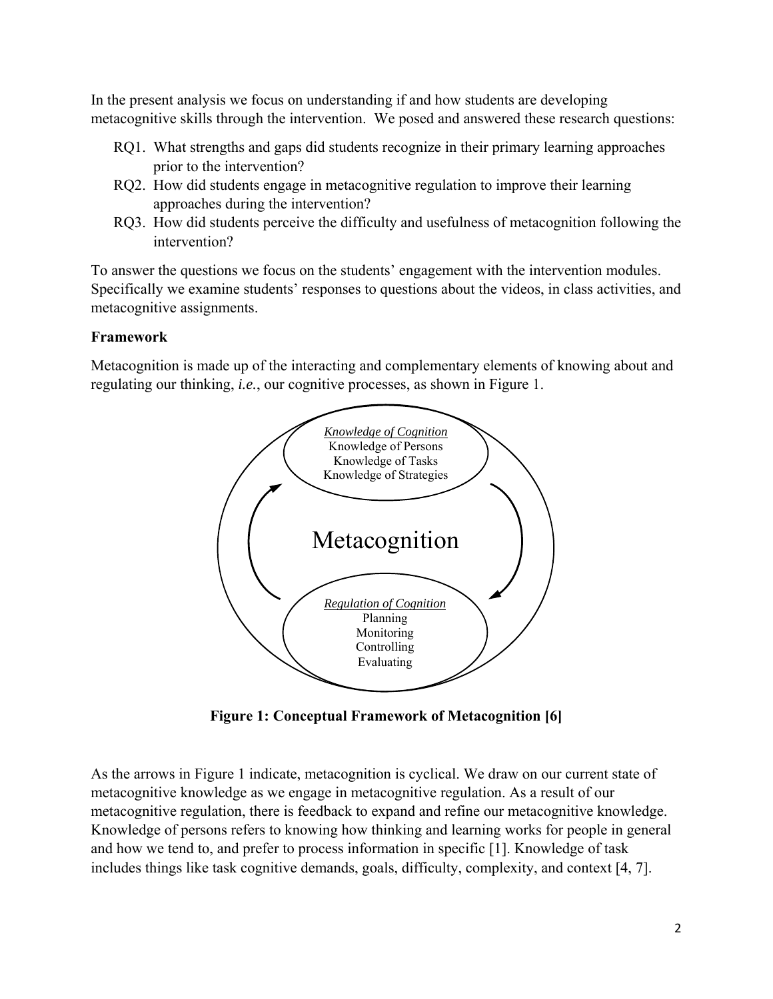In the present analysis we focus on understanding if and how students are developing metacognitive skills through the intervention. We posed and answered these research questions:

- RQ1. What strengths and gaps did students recognize in their primary learning approaches prior to the intervention?
- RQ2. How did students engage in metacognitive regulation to improve their learning approaches during the intervention?
- RQ3. How did students perceive the difficulty and usefulness of metacognition following the intervention?

To answer the questions we focus on the students' engagement with the intervention modules. Specifically we examine students' responses to questions about the videos, in class activities, and metacognitive assignments.

# **Framework**

Metacognition is made up of the interacting and complementary elements of knowing about and regulating our thinking, *i.e.*, our cognitive processes, as shown in Figure 1.



**Figure 1: Conceptual Framework of Metacognition [6]** 

As the arrows in Figure 1 indicate, metacognition is cyclical. We draw on our current state of metacognitive knowledge as we engage in metacognitive regulation. As a result of our metacognitive regulation, there is feedback to expand and refine our metacognitive knowledge. Knowledge of persons refers to knowing how thinking and learning works for people in general and how we tend to, and prefer to process information in specific [1]. Knowledge of task includes things like task cognitive demands, goals, difficulty, complexity, and context [4, 7].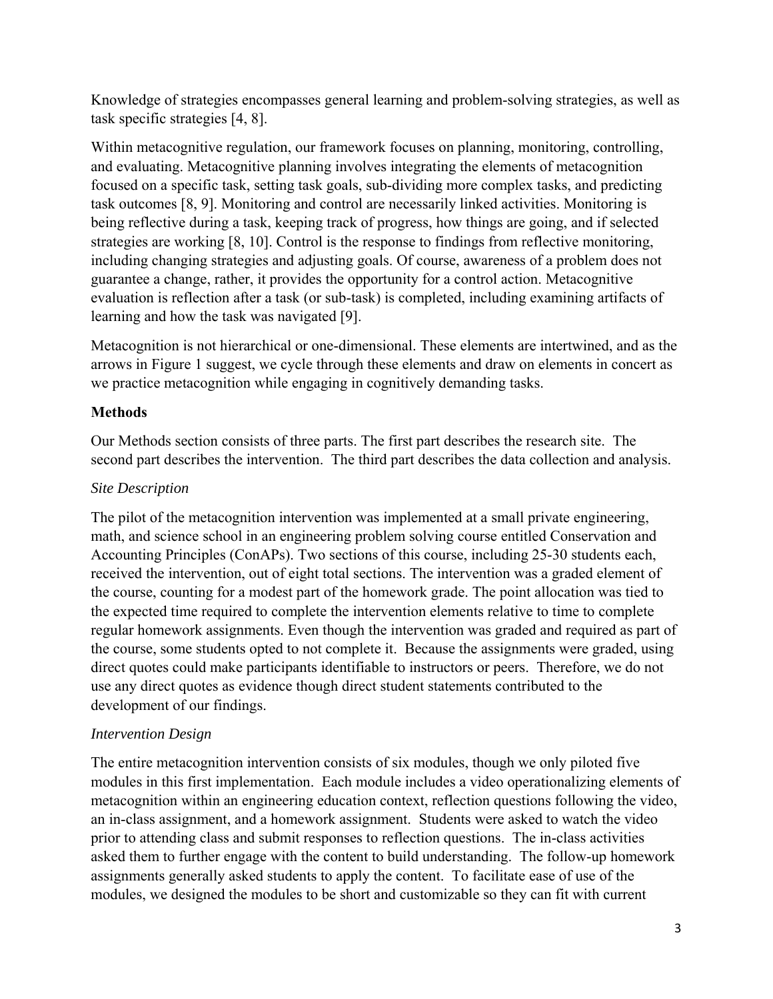Knowledge of strategies encompasses general learning and problem-solving strategies, as well as task specific strategies [4, 8].

Within metacognitive regulation, our framework focuses on planning, monitoring, controlling, and evaluating. Metacognitive planning involves integrating the elements of metacognition focused on a specific task, setting task goals, sub-dividing more complex tasks, and predicting task outcomes [8, 9]. Monitoring and control are necessarily linked activities. Monitoring is being reflective during a task, keeping track of progress, how things are going, and if selected strategies are working [8, 10]. Control is the response to findings from reflective monitoring, including changing strategies and adjusting goals. Of course, awareness of a problem does not guarantee a change, rather, it provides the opportunity for a control action. Metacognitive evaluation is reflection after a task (or sub-task) is completed, including examining artifacts of learning and how the task was navigated [9].

Metacognition is not hierarchical or one-dimensional. These elements are intertwined, and as the arrows in Figure 1 suggest, we cycle through these elements and draw on elements in concert as we practice metacognition while engaging in cognitively demanding tasks.

# **Methods**

Our Methods section consists of three parts. The first part describes the research site. The second part describes the intervention. The third part describes the data collection and analysis.

# *Site Description*

The pilot of the metacognition intervention was implemented at a small private engineering, math, and science school in an engineering problem solving course entitled Conservation and Accounting Principles (ConAPs). Two sections of this course, including 25-30 students each, received the intervention, out of eight total sections. The intervention was a graded element of the course, counting for a modest part of the homework grade. The point allocation was tied to the expected time required to complete the intervention elements relative to time to complete regular homework assignments. Even though the intervention was graded and required as part of the course, some students opted to not complete it. Because the assignments were graded, using direct quotes could make participants identifiable to instructors or peers. Therefore, we do not use any direct quotes as evidence though direct student statements contributed to the development of our findings.

### *Intervention Design*

The entire metacognition intervention consists of six modules, though we only piloted five modules in this first implementation. Each module includes a video operationalizing elements of metacognition within an engineering education context, reflection questions following the video, an in-class assignment, and a homework assignment. Students were asked to watch the video prior to attending class and submit responses to reflection questions. The in-class activities asked them to further engage with the content to build understanding. The follow-up homework assignments generally asked students to apply the content. To facilitate ease of use of the modules, we designed the modules to be short and customizable so they can fit with current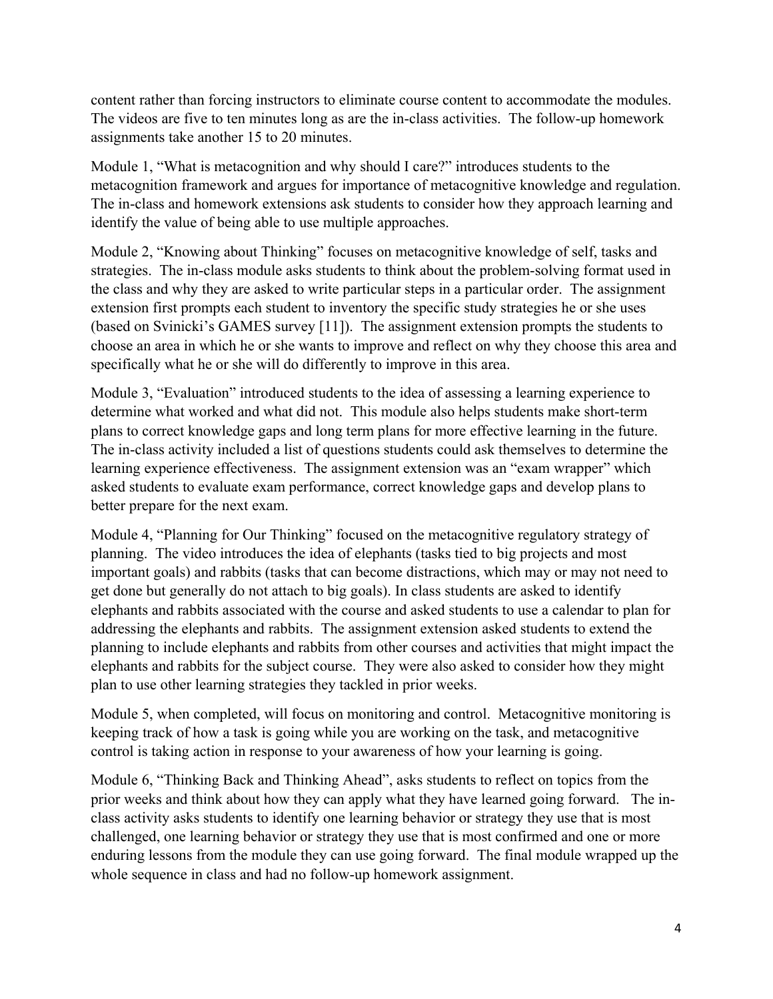content rather than forcing instructors to eliminate course content to accommodate the modules. The videos are five to ten minutes long as are the in-class activities. The follow-up homework assignments take another 15 to 20 minutes.

Module 1, "What is metacognition and why should I care?" introduces students to the metacognition framework and argues for importance of metacognitive knowledge and regulation. The in-class and homework extensions ask students to consider how they approach learning and identify the value of being able to use multiple approaches.

Module 2, "Knowing about Thinking" focuses on metacognitive knowledge of self, tasks and strategies. The in-class module asks students to think about the problem-solving format used in the class and why they are asked to write particular steps in a particular order. The assignment extension first prompts each student to inventory the specific study strategies he or she uses (based on Svinicki's GAMES survey [11]). The assignment extension prompts the students to choose an area in which he or she wants to improve and reflect on why they choose this area and specifically what he or she will do differently to improve in this area.

Module 3, "Evaluation" introduced students to the idea of assessing a learning experience to determine what worked and what did not. This module also helps students make short-term plans to correct knowledge gaps and long term plans for more effective learning in the future. The in-class activity included a list of questions students could ask themselves to determine the learning experience effectiveness. The assignment extension was an "exam wrapper" which asked students to evaluate exam performance, correct knowledge gaps and develop plans to better prepare for the next exam.

Module 4, "Planning for Our Thinking" focused on the metacognitive regulatory strategy of planning. The video introduces the idea of elephants (tasks tied to big projects and most important goals) and rabbits (tasks that can become distractions, which may or may not need to get done but generally do not attach to big goals). In class students are asked to identify elephants and rabbits associated with the course and asked students to use a calendar to plan for addressing the elephants and rabbits. The assignment extension asked students to extend the planning to include elephants and rabbits from other courses and activities that might impact the elephants and rabbits for the subject course. They were also asked to consider how they might plan to use other learning strategies they tackled in prior weeks.

Module 5, when completed, will focus on monitoring and control. Metacognitive monitoring is keeping track of how a task is going while you are working on the task, and metacognitive control is taking action in response to your awareness of how your learning is going.

Module 6, "Thinking Back and Thinking Ahead", asks students to reflect on topics from the prior weeks and think about how they can apply what they have learned going forward. The inclass activity asks students to identify one learning behavior or strategy they use that is most challenged, one learning behavior or strategy they use that is most confirmed and one or more enduring lessons from the module they can use going forward. The final module wrapped up the whole sequence in class and had no follow-up homework assignment.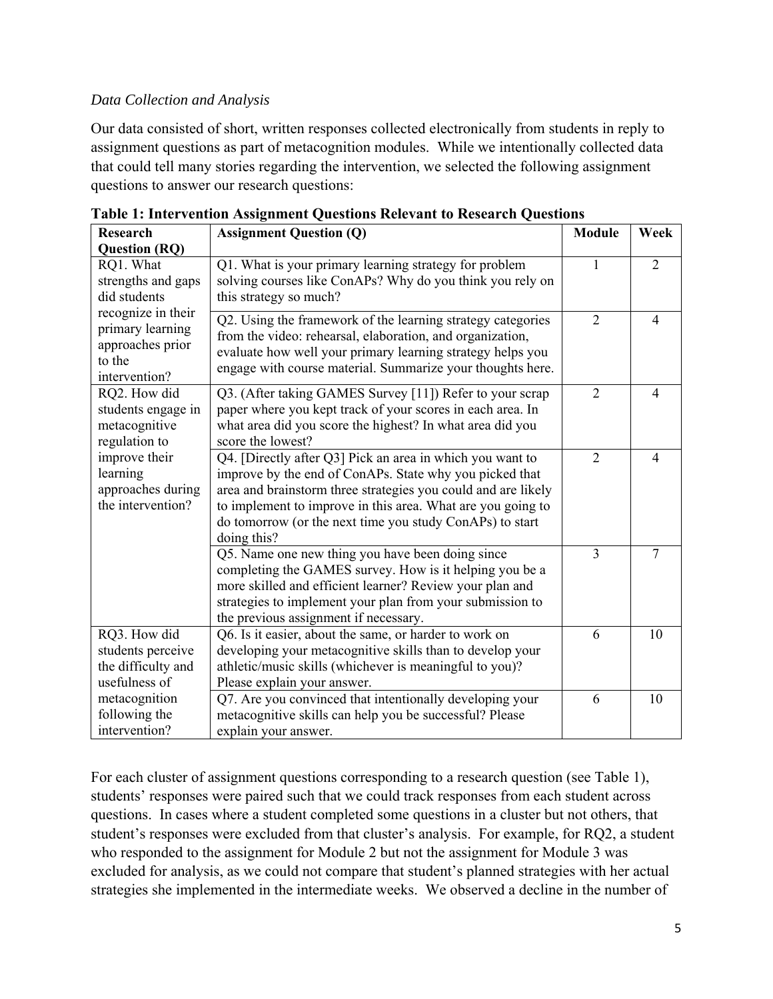# *Data Collection and Analysis*

Our data consisted of short, written responses collected electronically from students in reply to assignment questions as part of metacognition modules. While we intentionally collected data that could tell many stories regarding the intervention, we selected the following assignment questions to answer our research questions:

| <b>Research</b>                                                                                                                                                                                                                                                                         | <b>Assignment Question (Q)</b>                                                                                                                                                                                                                                                                                                  | <b>Module</b>  | Week           |
|-----------------------------------------------------------------------------------------------------------------------------------------------------------------------------------------------------------------------------------------------------------------------------------------|---------------------------------------------------------------------------------------------------------------------------------------------------------------------------------------------------------------------------------------------------------------------------------------------------------------------------------|----------------|----------------|
| <b>Question (RQ)</b>                                                                                                                                                                                                                                                                    |                                                                                                                                                                                                                                                                                                                                 |                |                |
| RQ1. What<br>strengths and gaps<br>did students<br>recognize in their<br>primary learning<br>approaches prior<br>to the<br>intervention?<br>RQ2. How did<br>students engage in<br>metacognitive<br>regulation to<br>improve their<br>learning<br>approaches during<br>the intervention? | Q1. What is your primary learning strategy for problem<br>solving courses like ConAPs? Why do you think you rely on<br>this strategy so much?                                                                                                                                                                                   | 1              | $\overline{2}$ |
|                                                                                                                                                                                                                                                                                         | Q2. Using the framework of the learning strategy categories<br>from the video: rehearsal, elaboration, and organization,<br>evaluate how well your primary learning strategy helps you<br>engage with course material. Summarize your thoughts here.                                                                            | $\overline{2}$ | $\overline{4}$ |
|                                                                                                                                                                                                                                                                                         | Q3. (After taking GAMES Survey [11]) Refer to your scrap<br>paper where you kept track of your scores in each area. In<br>what area did you score the highest? In what area did you<br>score the lowest?                                                                                                                        | $\overline{2}$ | $\overline{4}$ |
|                                                                                                                                                                                                                                                                                         | Q4. [Directly after Q3] Pick an area in which you want to<br>improve by the end of ConAPs. State why you picked that<br>area and brainstorm three strategies you could and are likely<br>to implement to improve in this area. What are you going to<br>do tomorrow (or the next time you study ConAPs) to start<br>doing this? | $\overline{2}$ | $\overline{4}$ |
|                                                                                                                                                                                                                                                                                         | Q5. Name one new thing you have been doing since<br>completing the GAMES survey. How is it helping you be a<br>more skilled and efficient learner? Review your plan and<br>strategies to implement your plan from your submission to<br>the previous assignment if necessary.                                                   | 3              | $\tau$         |
| RQ3. How did<br>students perceive<br>the difficulty and<br>usefulness of                                                                                                                                                                                                                | Q6. Is it easier, about the same, or harder to work on<br>developing your metacognitive skills than to develop your<br>athletic/music skills (whichever is meaningful to you)?<br>Please explain your answer.                                                                                                                   | 6              | 10             |
| metacognition<br>following the<br>intervention?                                                                                                                                                                                                                                         | Q7. Are you convinced that intentionally developing your<br>metacognitive skills can help you be successful? Please<br>explain your answer.                                                                                                                                                                                     | 6              | 10             |

**Table 1: Intervention Assignment Questions Relevant to Research Questions** 

For each cluster of assignment questions corresponding to a research question (see Table 1), students' responses were paired such that we could track responses from each student across questions. In cases where a student completed some questions in a cluster but not others, that student's responses were excluded from that cluster's analysis. For example, for RQ2, a student who responded to the assignment for Module 2 but not the assignment for Module 3 was excluded for analysis, as we could not compare that student's planned strategies with her actual strategies she implemented in the intermediate weeks. We observed a decline in the number of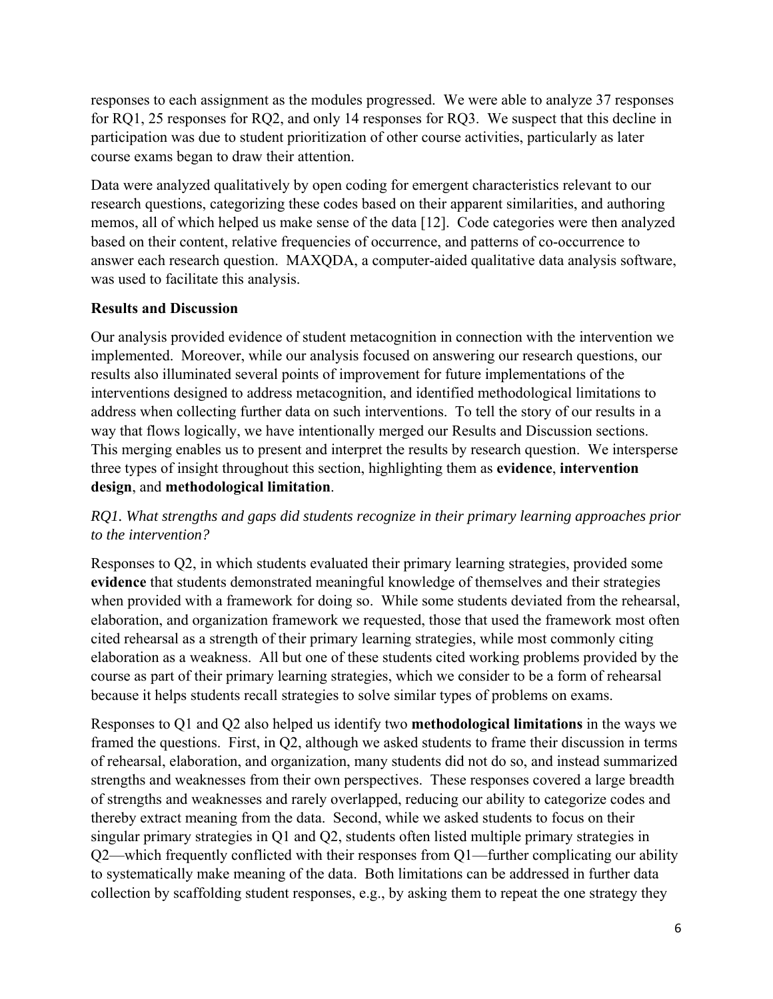responses to each assignment as the modules progressed. We were able to analyze 37 responses for RQ1, 25 responses for RQ2, and only 14 responses for RQ3. We suspect that this decline in participation was due to student prioritization of other course activities, particularly as later course exams began to draw their attention.

Data were analyzed qualitatively by open coding for emergent characteristics relevant to our research questions, categorizing these codes based on their apparent similarities, and authoring memos, all of which helped us make sense of the data [12]. Code categories were then analyzed based on their content, relative frequencies of occurrence, and patterns of co-occurrence to answer each research question. MAXQDA, a computer-aided qualitative data analysis software, was used to facilitate this analysis.

# **Results and Discussion**

Our analysis provided evidence of student metacognition in connection with the intervention we implemented. Moreover, while our analysis focused on answering our research questions, our results also illuminated several points of improvement for future implementations of the interventions designed to address metacognition, and identified methodological limitations to address when collecting further data on such interventions. To tell the story of our results in a way that flows logically, we have intentionally merged our Results and Discussion sections. This merging enables us to present and interpret the results by research question. We intersperse three types of insight throughout this section, highlighting them as **evidence**, **intervention design**, and **methodological limitation**.

# *RQ1. What strengths and gaps did students recognize in their primary learning approaches prior to the intervention?*

Responses to Q2, in which students evaluated their primary learning strategies, provided some **evidence** that students demonstrated meaningful knowledge of themselves and their strategies when provided with a framework for doing so. While some students deviated from the rehearsal, elaboration, and organization framework we requested, those that used the framework most often cited rehearsal as a strength of their primary learning strategies, while most commonly citing elaboration as a weakness. All but one of these students cited working problems provided by the course as part of their primary learning strategies, which we consider to be a form of rehearsal because it helps students recall strategies to solve similar types of problems on exams.

Responses to Q1 and Q2 also helped us identify two **methodological limitations** in the ways we framed the questions. First, in Q2, although we asked students to frame their discussion in terms of rehearsal, elaboration, and organization, many students did not do so, and instead summarized strengths and weaknesses from their own perspectives. These responses covered a large breadth of strengths and weaknesses and rarely overlapped, reducing our ability to categorize codes and thereby extract meaning from the data. Second, while we asked students to focus on their singular primary strategies in Q1 and Q2, students often listed multiple primary strategies in Q2—which frequently conflicted with their responses from Q1—further complicating our ability to systematically make meaning of the data. Both limitations can be addressed in further data collection by scaffolding student responses, e.g., by asking them to repeat the one strategy they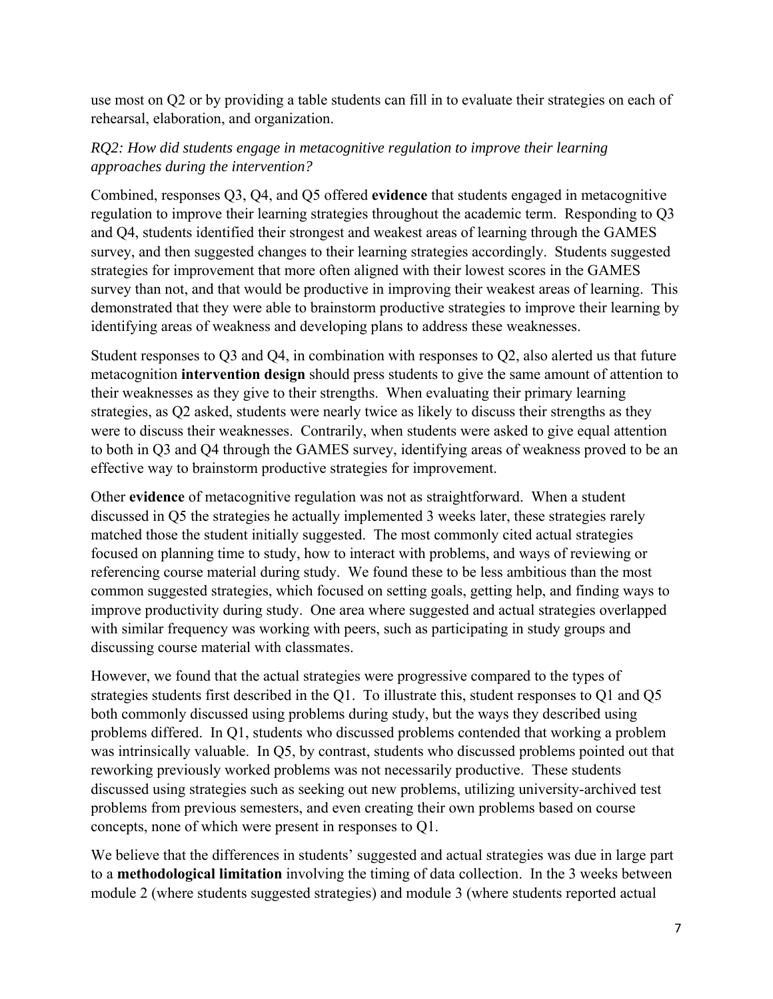use most on Q2 or by providing a table students can fill in to evaluate their strategies on each of rehearsal, elaboration, and organization.

# *RQ2: How did students engage in metacognitive regulation to improve their learning approaches during the intervention?*

Combined, responses Q3, Q4, and Q5 offered **evidence** that students engaged in metacognitive regulation to improve their learning strategies throughout the academic term. Responding to Q3 and Q4, students identified their strongest and weakest areas of learning through the GAMES survey, and then suggested changes to their learning strategies accordingly. Students suggested strategies for improvement that more often aligned with their lowest scores in the GAMES survey than not, and that would be productive in improving their weakest areas of learning. This demonstrated that they were able to brainstorm productive strategies to improve their learning by identifying areas of weakness and developing plans to address these weaknesses.

Student responses to Q3 and Q4, in combination with responses to Q2, also alerted us that future metacognition **intervention design** should press students to give the same amount of attention to their weaknesses as they give to their strengths. When evaluating their primary learning strategies, as Q2 asked, students were nearly twice as likely to discuss their strengths as they were to discuss their weaknesses. Contrarily, when students were asked to give equal attention to both in Q3 and Q4 through the GAMES survey, identifying areas of weakness proved to be an effective way to brainstorm productive strategies for improvement.

Other **evidence** of metacognitive regulation was not as straightforward. When a student discussed in Q5 the strategies he actually implemented 3 weeks later, these strategies rarely matched those the student initially suggested. The most commonly cited actual strategies focused on planning time to study, how to interact with problems, and ways of reviewing or referencing course material during study. We found these to be less ambitious than the most common suggested strategies, which focused on setting goals, getting help, and finding ways to improve productivity during study. One area where suggested and actual strategies overlapped with similar frequency was working with peers, such as participating in study groups and discussing course material with classmates.

However, we found that the actual strategies were progressive compared to the types of strategies students first described in the Q1. To illustrate this, student responses to Q1 and Q5 both commonly discussed using problems during study, but the ways they described using problems differed. In Q1, students who discussed problems contended that working a problem was intrinsically valuable. In Q5, by contrast, students who discussed problems pointed out that reworking previously worked problems was not necessarily productive. These students discussed using strategies such as seeking out new problems, utilizing university-archived test problems from previous semesters, and even creating their own problems based on course concepts, none of which were present in responses to Q1.

We believe that the differences in students' suggested and actual strategies was due in large part to a **methodological limitation** involving the timing of data collection. In the 3 weeks between module 2 (where students suggested strategies) and module 3 (where students reported actual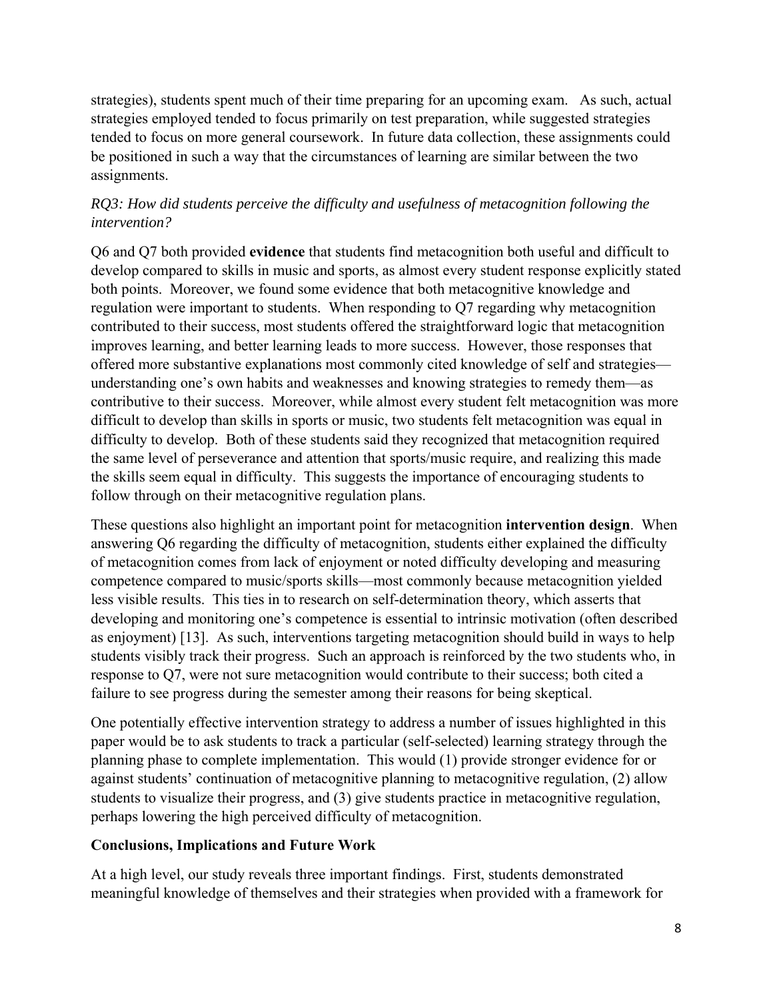strategies), students spent much of their time preparing for an upcoming exam. As such, actual strategies employed tended to focus primarily on test preparation, while suggested strategies tended to focus on more general coursework. In future data collection, these assignments could be positioned in such a way that the circumstances of learning are similar between the two assignments.

# *RQ3: How did students perceive the difficulty and usefulness of metacognition following the intervention?*

Q6 and Q7 both provided **evidence** that students find metacognition both useful and difficult to develop compared to skills in music and sports, as almost every student response explicitly stated both points. Moreover, we found some evidence that both metacognitive knowledge and regulation were important to students. When responding to Q7 regarding why metacognition contributed to their success, most students offered the straightforward logic that metacognition improves learning, and better learning leads to more success. However, those responses that offered more substantive explanations most commonly cited knowledge of self and strategies understanding one's own habits and weaknesses and knowing strategies to remedy them—as contributive to their success. Moreover, while almost every student felt metacognition was more difficult to develop than skills in sports or music, two students felt metacognition was equal in difficulty to develop. Both of these students said they recognized that metacognition required the same level of perseverance and attention that sports/music require, and realizing this made the skills seem equal in difficulty. This suggests the importance of encouraging students to follow through on their metacognitive regulation plans.

These questions also highlight an important point for metacognition **intervention design**. When answering Q6 regarding the difficulty of metacognition, students either explained the difficulty of metacognition comes from lack of enjoyment or noted difficulty developing and measuring competence compared to music/sports skills—most commonly because metacognition yielded less visible results. This ties in to research on self-determination theory, which asserts that developing and monitoring one's competence is essential to intrinsic motivation (often described as enjoyment) [13]. As such, interventions targeting metacognition should build in ways to help students visibly track their progress. Such an approach is reinforced by the two students who, in response to Q7, were not sure metacognition would contribute to their success; both cited a failure to see progress during the semester among their reasons for being skeptical.

One potentially effective intervention strategy to address a number of issues highlighted in this paper would be to ask students to track a particular (self-selected) learning strategy through the planning phase to complete implementation. This would (1) provide stronger evidence for or against students' continuation of metacognitive planning to metacognitive regulation, (2) allow students to visualize their progress, and (3) give students practice in metacognitive regulation, perhaps lowering the high perceived difficulty of metacognition.

# **Conclusions, Implications and Future Work**

At a high level, our study reveals three important findings. First, students demonstrated meaningful knowledge of themselves and their strategies when provided with a framework for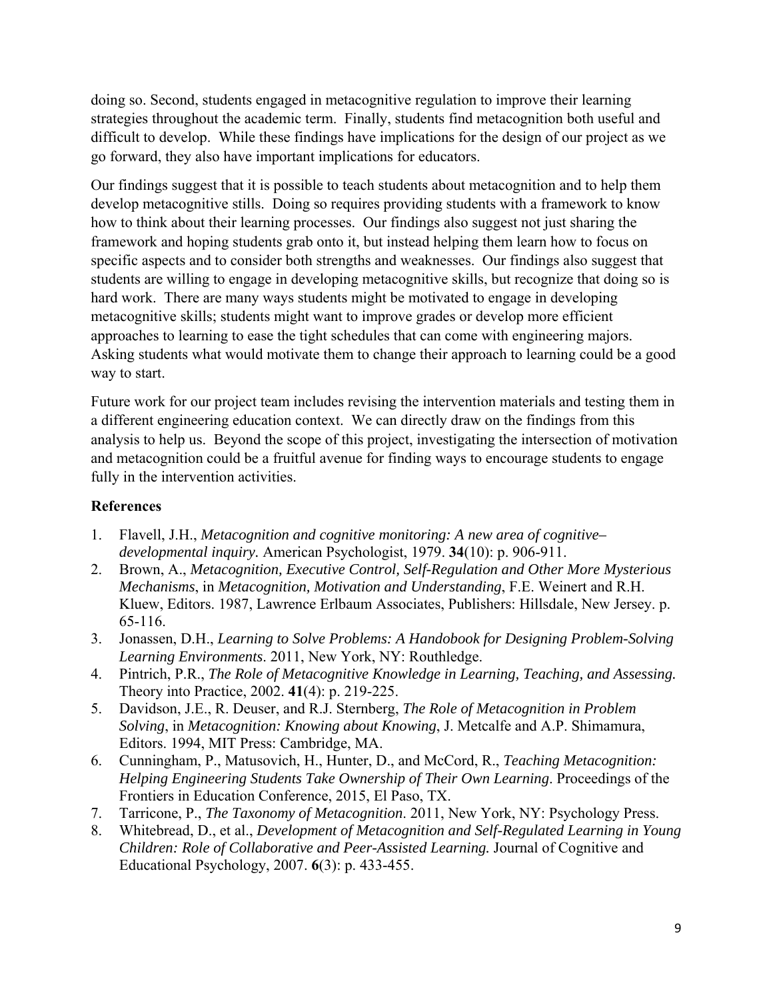doing so. Second, students engaged in metacognitive regulation to improve their learning strategies throughout the academic term. Finally, students find metacognition both useful and difficult to develop. While these findings have implications for the design of our project as we go forward, they also have important implications for educators.

Our findings suggest that it is possible to teach students about metacognition and to help them develop metacognitive stills. Doing so requires providing students with a framework to know how to think about their learning processes. Our findings also suggest not just sharing the framework and hoping students grab onto it, but instead helping them learn how to focus on specific aspects and to consider both strengths and weaknesses. Our findings also suggest that students are willing to engage in developing metacognitive skills, but recognize that doing so is hard work. There are many ways students might be motivated to engage in developing metacognitive skills; students might want to improve grades or develop more efficient approaches to learning to ease the tight schedules that can come with engineering majors. Asking students what would motivate them to change their approach to learning could be a good way to start.

Future work for our project team includes revising the intervention materials and testing them in a different engineering education context. We can directly draw on the findings from this analysis to help us. Beyond the scope of this project, investigating the intersection of motivation and metacognition could be a fruitful avenue for finding ways to encourage students to engage fully in the intervention activities.

### **References**

- 1. Flavell, J.H., *Metacognition and cognitive monitoring: A new area of cognitive– developmental inquiry.* American Psychologist, 1979. **34**(10): p. 906-911.
- 2. Brown, A., *Metacognition, Executive Control, Self-Regulation and Other More Mysterious Mechanisms*, in *Metacognition, Motivation and Understanding*, F.E. Weinert and R.H. Kluew, Editors. 1987, Lawrence Erlbaum Associates, Publishers: Hillsdale, New Jersey. p. 65-116.
- 3. Jonassen, D.H., *Learning to Solve Problems: A Handobook for Designing Problem-Solving Learning Environments*. 2011, New York, NY: Routhledge.
- 4. Pintrich, P.R., *The Role of Metacognitive Knowledge in Learning, Teaching, and Assessing.* Theory into Practice, 2002. **41**(4): p. 219-225.
- 5. Davidson, J.E., R. Deuser, and R.J. Sternberg, *The Role of Metacognition in Problem Solving*, in *Metacognition: Knowing about Knowing*, J. Metcalfe and A.P. Shimamura, Editors. 1994, MIT Press: Cambridge, MA.
- 6. Cunningham, P., Matusovich, H., Hunter, D., and McCord, R., *Teaching Metacognition: Helping Engineering Students Take Ownership of Their Own Learning*. Proceedings of the Frontiers in Education Conference, 2015, El Paso, TX.
- 7. Tarricone, P., *The Taxonomy of Metacognition*. 2011, New York, NY: Psychology Press.
- 8. Whitebread, D., et al., *Development of Metacognition and Self-Regulated Learning in Young Children: Role of Collaborative and Peer-Assisted Learning.* Journal of Cognitive and Educational Psychology, 2007. **6**(3): p. 433-455.